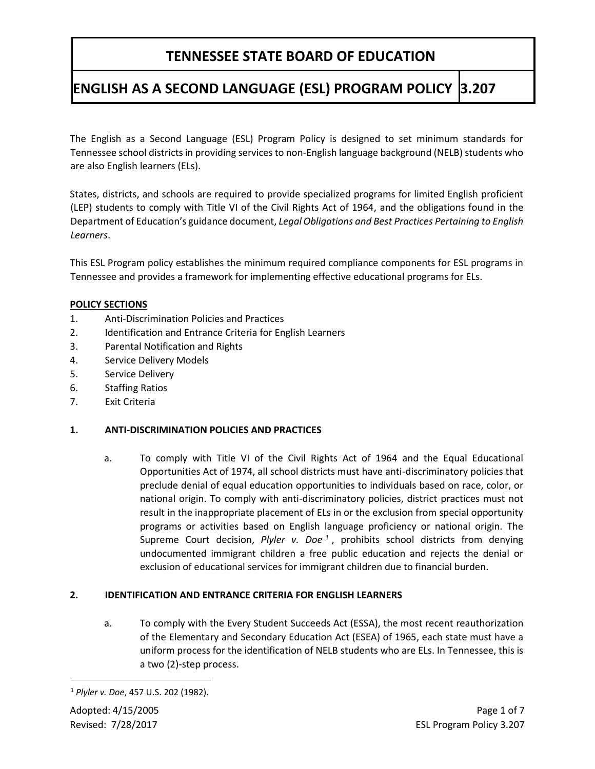# **ENGLISH AS A SECOND LANGUAGE (ESL) PROGRAM POLICY 3.207**

The English as a Second Language (ESL) Program Policy is designed to set minimum standards for Tennessee school districts in providing services to non-English language background (NELB) students who are also English learners (ELs).

States, districts, and schools are required to provide specialized programs for limited English proficient (LEP) students to comply with Title VI of the Civil Rights Act of 1964, and the obligations found in the Department of Education's guidance document, *Legal Obligations and Best Practices Pertaining to English Learners*.

This ESL Program policy establishes the minimum required compliance components for ESL programs in Tennessee and provides a framework for implementing effective educational programs for ELs.

### **POLICY SECTIONS**

- 1. Anti-Discrimination Policies and Practices
- 2. Identification and Entrance Criteria for English Learners
- 3. Parental Notification and Rights
- 4. Service Delivery Models
- 5. Service Delivery
- 6. Staffing Ratios
- 7. Exit Criteria

### **1. ANTI-DISCRIMINATION POLICIES AND PRACTICES**

a. To comply with Title VI of the Civil Rights Act of 1964 and the Equal Educational Opportunities Act of 1974, all school districts must have anti-discriminatory policies that preclude denial of equal education opportunities to individuals based on race, color, or national origin. To comply with anti-discriminatory policies, district practices must not result in the inappropriate placement of ELs in or the exclusion from special opportunity programs or activities based on English language proficiency or national origin. The Supreme Court decision, *Plyler v. Doe <sup>1</sup>* , prohibits school districts from denying undocumented immigrant children a free public education and rejects the denial or exclusion of educational services for immigrant children due to financial burden.

### **2. IDENTIFICATION AND ENTRANCE CRITERIA FOR ENGLISH LEARNERS**

a. To comply with the Every Student Succeeds Act (ESSA), the most recent reauthorization of the Elementary and Secondary Education Act (ESEA) of 1965, each state must have a uniform process for the identification of NELB students who are ELs. In Tennessee, this is a two (2)-step process.

1

<sup>1</sup> *Plyler v. Doe*, 457 U.S. 202 (1982).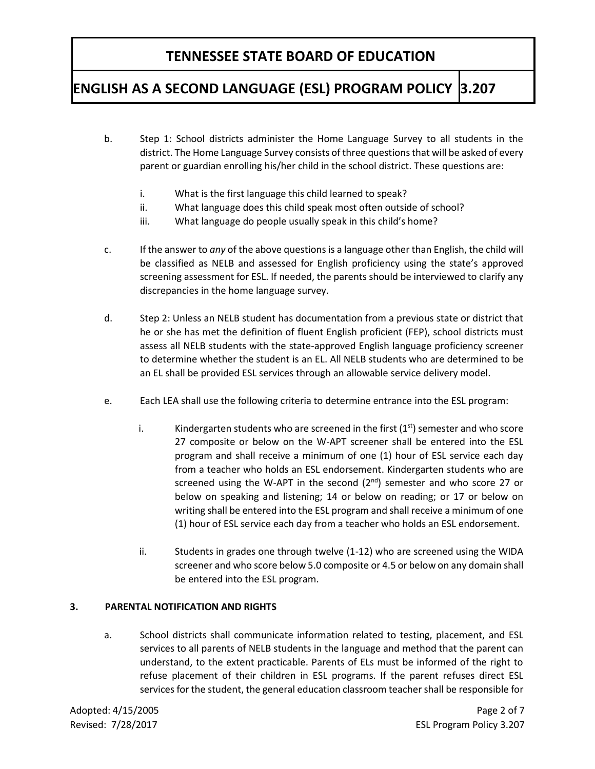# **ENGLISH AS A SECOND LANGUAGE (ESL) PROGRAM POLICY 3.207**

- b. Step 1: School districts administer the Home Language Survey to all students in the district. The Home Language Survey consists of three questions that will be asked of every parent or guardian enrolling his/her child in the school district. These questions are:
	- i. What is the first language this child learned to speak?
	- ii. What language does this child speak most often outside of school?
	- iii. What language do people usually speak in this child's home?
- c. If the answer to *any* of the above questions is a language other than English, the child will be classified as NELB and assessed for English proficiency using the state's approved screening assessment for ESL. If needed, the parents should be interviewed to clarify any discrepancies in the home language survey.
- d. Step 2: Unless an NELB student has documentation from a previous state or district that he or she has met the definition of fluent English proficient (FEP), school districts must assess all NELB students with the state-approved English language proficiency screener to determine whether the student is an EL. All NELB students who are determined to be an EL shall be provided ESL services through an allowable service delivery model.
- e. Each LEA shall use the following criteria to determine entrance into the ESL program:
	- i. Kindergarten students who are screened in the first  $(1<sup>st</sup>)$  semester and who score 27 composite or below on the W-APT screener shall be entered into the ESL program and shall receive a minimum of one (1) hour of ESL service each day from a teacher who holds an ESL endorsement. Kindergarten students who are screened using the W-APT in the second (2<sup>nd</sup>) semester and who score 27 or below on speaking and listening; 14 or below on reading; or 17 or below on writing shall be entered into the ESL program and shall receive a minimum of one (1) hour of ESL service each day from a teacher who holds an ESL endorsement.
	- ii. Students in grades one through twelve (1-12) who are screened using the WIDA screener and who score below 5.0 composite or 4.5 or below on any domain shall be entered into the ESL program.

### **3. PARENTAL NOTIFICATION AND RIGHTS**

a. School districts shall communicate information related to testing, placement, and ESL services to all parents of NELB students in the language and method that the parent can understand, to the extent practicable. Parents of ELs must be informed of the right to refuse placement of their children in ESL programs. If the parent refuses direct ESL services for the student, the general education classroom teacher shall be responsible for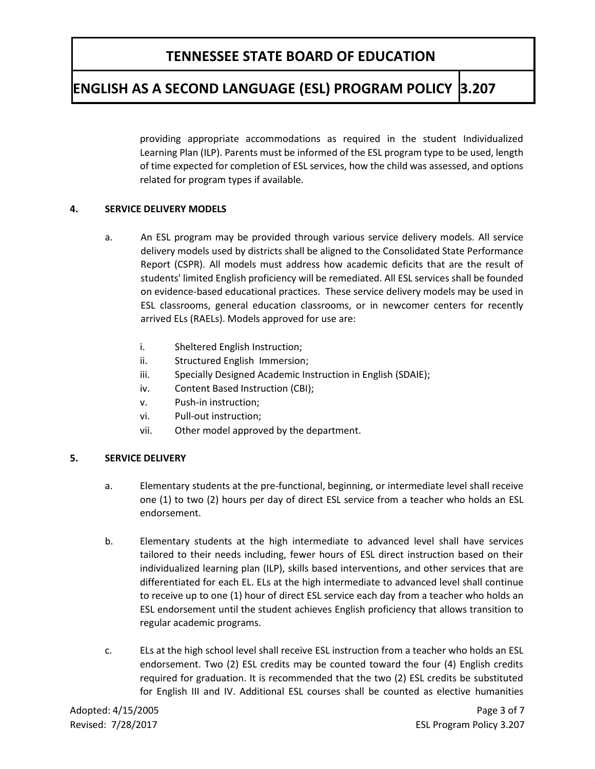## **ENGLISH AS A SECOND LANGUAGE (ESL) PROGRAM POLICY 3.207**

providing appropriate accommodations as required in the student Individualized Learning Plan (ILP). Parents must be informed of the ESL program type to be used, length of time expected for completion of ESL services, how the child was assessed, and options related for program types if available.

### **4. SERVICE DELIVERY MODELS**

- a. An ESL program may be provided through various service delivery models. All service delivery models used by districts shall be aligned to the Consolidated State Performance Report (CSPR). All models must address how academic deficits that are the result of students' limited English proficiency will be remediated. All ESL services shall be founded on evidence-based educational practices. These service delivery models may be used in ESL classrooms, general education classrooms, or in newcomer centers for recently arrived ELs (RAELs). Models approved for use are:
	- i. Sheltered English Instruction;
	- ii. Structured English Immersion;
	- iii. Specially Designed Academic Instruction in English (SDAIE);
	- iv. Content Based Instruction (CBI);
	- v. Push-in instruction;
	- vi. Pull-out instruction;
	- vii. Other model approved by the department.

### **5. SERVICE DELIVERY**

- a. Elementary students at the pre-functional, beginning, or intermediate level shall receive one (1) to two (2) hours per day of direct ESL service from a teacher who holds an ESL endorsement.
- b. Elementary students at the high intermediate to advanced level shall have services tailored to their needs including, fewer hours of ESL direct instruction based on their individualized learning plan (ILP), skills based interventions, and other services that are differentiated for each EL. ELs at the high intermediate to advanced level shall continue to receive up to one (1) hour of direct ESL service each day from a teacher who holds an ESL endorsement until the student achieves English proficiency that allows transition to regular academic programs.
- c. ELs at the high school level shall receive ESL instruction from a teacher who holds an ESL endorsement. Two (2) ESL credits may be counted toward the four (4) English credits required for graduation. It is recommended that the two (2) ESL credits be substituted for English III and IV. Additional ESL courses shall be counted as elective humanities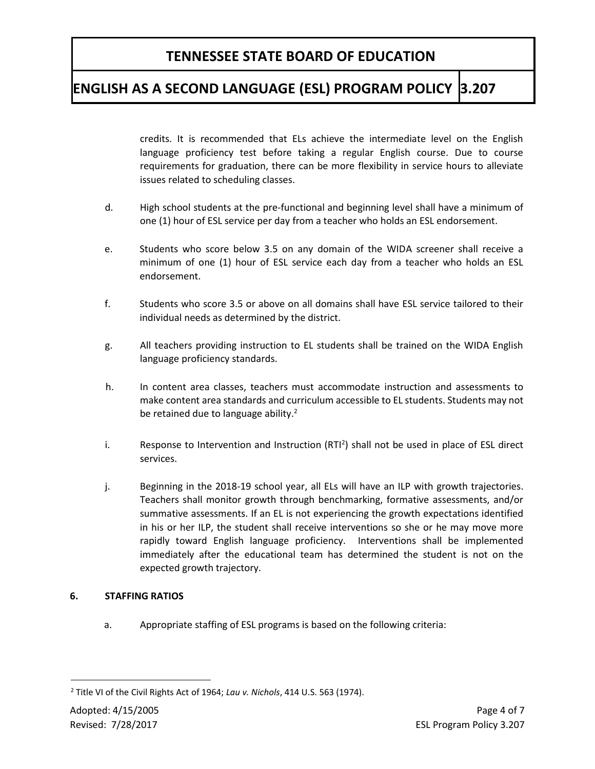# **ENGLISH AS A SECOND LANGUAGE (ESL) PROGRAM POLICY 3.207**

credits. It is recommended that ELs achieve the intermediate level on the English language proficiency test before taking a regular English course. Due to course requirements for graduation, there can be more flexibility in service hours to alleviate issues related to scheduling classes.

- d. High school students at the pre-functional and beginning level shall have a minimum of one (1) hour of ESL service per day from a teacher who holds an ESL endorsement.
- e. Students who score below 3.5 on any domain of the WIDA screener shall receive a minimum of one (1) hour of ESL service each day from a teacher who holds an ESL endorsement.
- f. Students who score 3.5 or above on all domains shall have ESL service tailored to their individual needs as determined by the district.
- g. All teachers providing instruction to EL students shall be trained on the WIDA English language proficiency standards.
- h. In content area classes, teachers must accommodate instruction and assessments to make content area standards and curriculum accessible to EL students. Students may not be retained due to language ability. $2$
- i. Response to Intervention and Instruction  $(RTI^2)$  shall not be used in place of ESL direct services.
- j. Beginning in the 2018-19 school year, all ELs will have an ILP with growth trajectories. Teachers shall monitor growth through benchmarking, formative assessments, and/or summative assessments. If an EL is not experiencing the growth expectations identified in his or her ILP, the student shall receive interventions so she or he may move more rapidly toward English language proficiency. Interventions shall be implemented immediately after the educational team has determined the student is not on the expected growth trajectory.

### **6. STAFFING RATIOS**

a. Appropriate staffing of ESL programs is based on the following criteria:

1

<sup>2</sup> Title VI of the Civil Rights Act of 1964; *Lau v. Nichols*, 414 U.S. 563 (1974).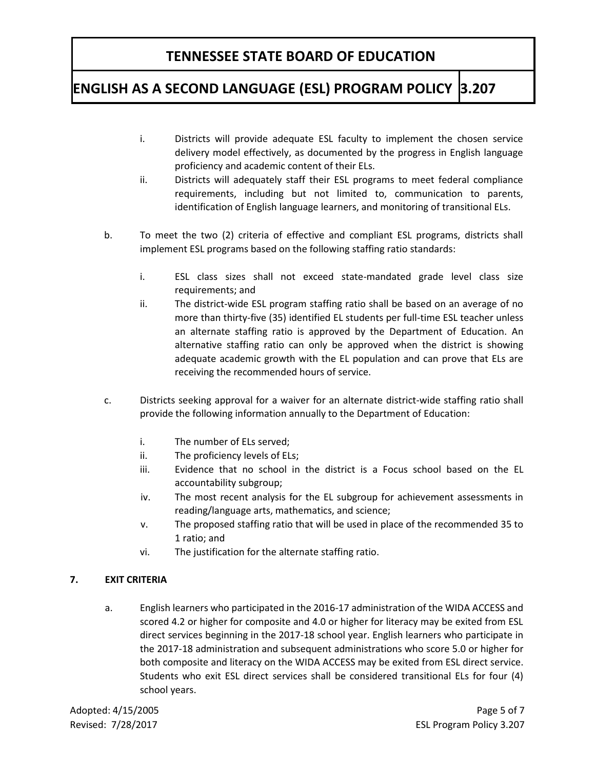## **ENGLISH AS A SECOND LANGUAGE (ESL) PROGRAM POLICY 3.207**

- i. Districts will provide adequate ESL faculty to implement the chosen service delivery model effectively, as documented by the progress in English language proficiency and academic content of their ELs.
- ii. Districts will adequately staff their ESL programs to meet federal compliance requirements, including but not limited to, communication to parents, identification of English language learners, and monitoring of transitional ELs.
- b. To meet the two (2) criteria of effective and compliant ESL programs, districts shall implement ESL programs based on the following staffing ratio standards:
	- i. ESL class sizes shall not exceed state-mandated grade level class size requirements; and
	- ii. The district-wide ESL program staffing ratio shall be based on an average of no more than thirty-five (35) identified EL students per full-time ESL teacher unless an alternate staffing ratio is approved by the Department of Education. An alternative staffing ratio can only be approved when the district is showing adequate academic growth with the EL population and can prove that ELs are receiving the recommended hours of service.
- c. Districts seeking approval for a waiver for an alternate district-wide staffing ratio shall provide the following information annually to the Department of Education:
	- i. The number of ELs served;
	- ii. The proficiency levels of ELs;
	- iii. Evidence that no school in the district is a Focus school based on the EL accountability subgroup;
	- iv. The most recent analysis for the EL subgroup for achievement assessments in reading/language arts, mathematics, and science;
	- v. The proposed staffing ratio that will be used in place of the recommended 35 to 1 ratio; and
	- vi. The justification for the alternate staffing ratio.

### **7. EXIT CRITERIA**

a. English learners who participated in the 2016-17 administration of the WIDA ACCESS and scored 4.2 or higher for composite and 4.0 or higher for literacy may be exited from ESL direct services beginning in the 2017-18 school year. English learners who participate in the 2017-18 administration and subsequent administrations who score 5.0 or higher for both composite and literacy on the WIDA ACCESS may be exited from ESL direct service. Students who exit ESL direct services shall be considered transitional ELs for four (4) school years.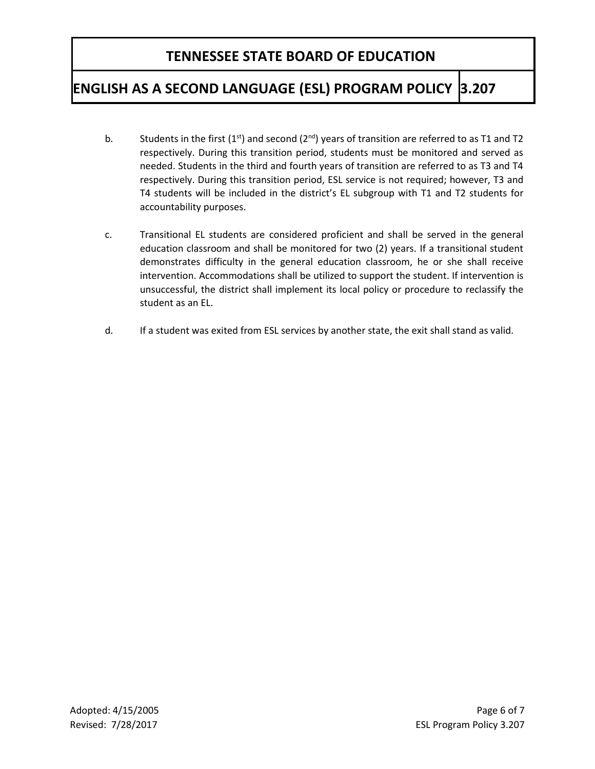## **ENGLISH AS A SECOND LANGUAGE (ESL) PROGRAM POLICY 3.207**

- b. Students in the first  $(1<sup>st</sup>)$  and second  $(2<sup>nd</sup>)$  years of transition are referred to as T1 and T2 respectively. During this transition period, students must be monitored and served as needed. Students in the third and fourth years of transition are referred to as T3 and T4 respectively. During this transition period, ESL service is not required; however, T3 and T4 students will be included in the district's EL subgroup with T1 and T2 students for accountability purposes.
- c. Transitional EL students are considered proficient and shall be served in the general education classroom and shall be monitored for two (2) years. If a transitional student demonstrates difficulty in the general education classroom, he or she shall receive intervention. Accommodations shall be utilized to support the student. If intervention is unsuccessful, the district shall implement its local policy or procedure to reclassify the student as an EL.
- d. If a student was exited from ESL services by another state, the exit shall stand as valid.